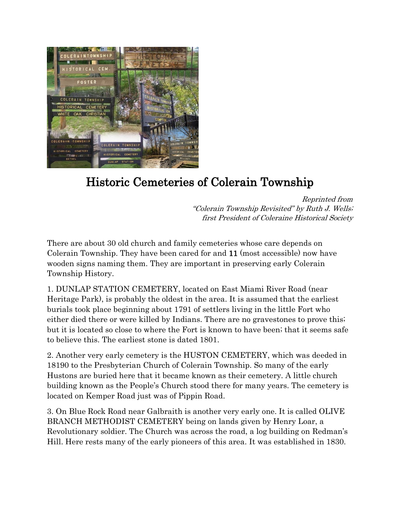

## Historic Cemeteries of Colerain Township

Reprinted from "Colerain Township Revisited" by Ruth J. Wells; first President of Coleraine Historical Society

There are about 30 old church and family cemeteries whose care depends on Colerain Township. They have been cared for and 11 (most accessible) now have wooden signs naming them. They are important in preserving early Colerain Township History.

1. DUNLAP STATION CEMETERY, located on East Miami River Road (near Heritage Park), is probably the oldest in the area. It is assumed that the earliest burials took place beginning about 1791 of settlers living in the little Fort who either died there or were killed by Indians. There are no gravestones to prove this; but it is located so close to where the Fort is known to have been; that it seems safe to believe this. The earliest stone is dated 1801.

2. Another very early cemetery is the HUSTON CEMETERY, which was deeded in 18190 to the Presbyterian Church of Colerain Township. So many of the early Hustons are buried here that it became known as their cemetery. A little church building known as the People's Church stood there for many years. The cemetery is located on Kemper Road just was of Pippin Road.

3. On Blue Rock Road near Galbraith is another very early one. It is called OLIVE BRANCH METHODIST CEMETERY being on lands given by Henry Loar, a Revolutionary soldier. The Church was across the road, a log building on Redman's Hill. Here rests many of the early pioneers of this area. It was established in 1830.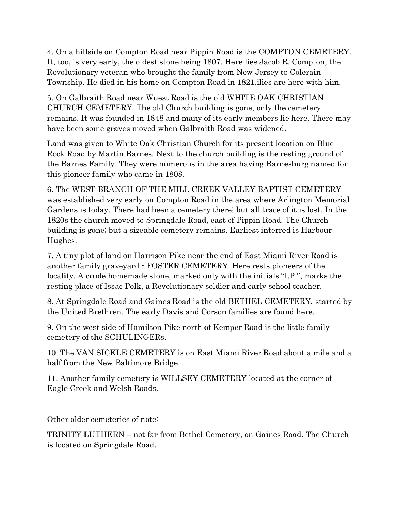4. On a hillside on Compton Road near Pippin Road is the COMPTON CEMETERY. It, too, is very early, the oldest stone being 1807. Here lies Jacob R. Compton, the Revolutionary veteran who brought the family from New Jersey to Colerain Township. He died in his home on Compton Road in 1821.ilies are here with him.

5. On Galbraith Road near Wuest Road is the old WHITE OAK CHRISTIAN CHURCH CEMETERY. The old Church building is gone, only the cemetery remains. It was founded in 1848 and many of its early members lie here. There may have been some graves moved when Galbraith Road was widened.

Land was given to White Oak Christian Church for its present location on Blue Rock Road by Martin Barnes. Next to the church building is the resting ground of the Barnes Family. They were numerous in the area having Barnesburg named for this pioneer family who came in 1808.

6. The WEST BRANCH OF THE MILL CREEK VALLEY BAPTIST CEMETERY was established very early on Compton Road in the area where Arlington Memorial Gardens is today. There had been a cemetery there; but all trace of it is lost. In the 1820s the church moved to Springdale Road, east of Pippin Road. The Church building is gone; but a sizeable cemetery remains. Earliest interred is Harbour Hughes.

7. A tiny plot of land on Harrison Pike near the end of East Miami River Road is another family graveyard - FOSTER CEMETERY. Here rests pioneers of the locality. A crude homemade stone, marked only with the initials "I.P.", marks the resting place of Issac Polk, a Revolutionary soldier and early school teacher.

8. At Springdale Road and Gaines Road is the old BETHEL CEMETERY, started by the United Brethren. The early Davis and Corson families are found here.

9. On the west side of Hamilton Pike north of Kemper Road is the little family cemetery of the SCHULINGERs.

10. The VAN SICKLE CEMETERY is on East Miami River Road about a mile and a half from the New Baltimore Bridge.

11. Another family cemetery is WILLSEY CEMETERY located at the corner of Eagle Creek and Welsh Roads.

Other older cemeteries of note:

TRINITY LUTHERN – not far from Bethel Cemetery, on Gaines Road. The Church is located on Springdale Road.